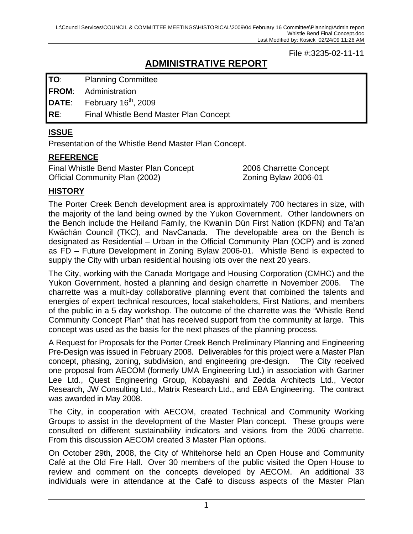#### File #:3235-02-11-11

# **ADMINISTRATIVE REPORT**

**TO**: Planning Committee

**FROM**: Administration

**DATE:** February 16<sup>th</sup>, 2009

**RE**: Final Whistle Bend Master Plan Concept

#### **ISSUE**

Presentation of the Whistle Bend Master Plan Concept.

#### **REFERENCE**

Final Whistle Bend Master Plan Concept 2006 Charrette Concept Official Community Plan (2002) Zoning Bylaw 2006-01

# **HISTORY**

The Porter Creek Bench development area is approximately 700 hectares in size, with the majority of the land being owned by the Yukon Government. Other landowners on the Bench include the Heiland Family, the Kwanlin Dün First Nation (KDFN) and Ta'an Kwächän Council (TKC), and NavCanada. The developable area on the Bench is designated as Residential – Urban in the Official Community Plan (OCP) and is zoned as FD – Future Development in Zoning Bylaw 2006-01. Whistle Bend is expected to supply the City with urban residential housing lots over the next 20 years.

The City, working with the Canada Mortgage and Housing Corporation (CMHC) and the Yukon Government, hosted a planning and design charrette in November 2006. The charrette was a multi-day collaborative planning event that combined the talents and energies of expert technical resources, local stakeholders, First Nations, and members of the public in a 5 day workshop. The outcome of the charrette was the "Whistle Bend Community Concept Plan" that has received support from the community at large. This concept was used as the basis for the next phases of the planning process.

A Request for Proposals for the Porter Creek Bench Preliminary Planning and Engineering Pre-Design was issued in February 2008. Deliverables for this project were a Master Plan concept, phasing, zoning, subdivision, and engineering pre-design. The City received one proposal from AECOM (formerly UMA Engineering Ltd.) in association with Gartner Lee Ltd., Quest Engineering Group, Kobayashi and Zedda Architects Ltd., Vector Research, JW Consulting Ltd., Matrix Research Ltd., and EBA Engineering. The contract was awarded in May 2008.

The City, in cooperation with AECOM, created Technical and Community Working Groups to assist in the development of the Master Plan concept. These groups were consulted on different sustainability indicators and visions from the 2006 charrette. From this discussion AECOM created 3 Master Plan options.

On October 29th, 2008, the City of Whitehorse held an Open House and Community Café at the Old Fire Hall. Over 30 members of the public visited the Open House to review and comment on the concepts developed by AECOM. An additional 33 individuals were in attendance at the Café to discuss aspects of the Master Plan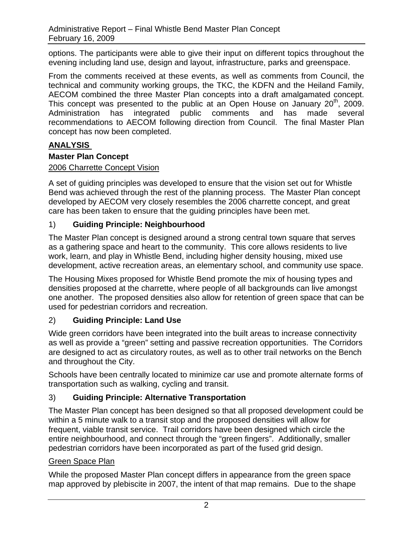options. The participants were able to give their input on different topics throughout the evening including land use, design and layout, infrastructure, parks and greenspace.

From the comments received at these events, as well as comments from Council, the technical and community working groups, the TKC, the KDFN and the Heiland Family, AECOM combined the three Master Plan concepts into a draft amalgamated concept. This concept was presented to the public at an Open House on January  $20<sup>th</sup>$ , 2009. Administration has integrated public comments and has made several recommendations to AECOM following direction from Council. The final Master Plan concept has now been completed.

## **ANALYSIS**

#### **Master Plan Concept**

#### 2006 Charrette Concept Vision

A set of guiding principles was developed to ensure that the vision set out for Whistle Bend was achieved through the rest of the planning process. The Master Plan concept developed by AECOM very closely resembles the 2006 charrette concept, and great care has been taken to ensure that the guiding principles have been met.

## 1) **Guiding Principle: Neighbourhood**

The Master Plan concept is designed around a strong central town square that serves as a gathering space and heart to the community. This core allows residents to live work, learn, and play in Whistle Bend, including higher density housing, mixed use development, active recreation areas, an elementary school, and community use space.

The Housing Mixes proposed for Whistle Bend promote the mix of housing types and densities proposed at the charrette, where people of all backgrounds can live amongst one another. The proposed densities also allow for retention of green space that can be used for pedestrian corridors and recreation.

#### 2) **Guiding Principle: Land Use**

Wide green corridors have been integrated into the built areas to increase connectivity as well as provide a "green" setting and passive recreation opportunities. The Corridors are designed to act as circulatory routes, as well as to other trail networks on the Bench and throughout the City.

Schools have been centrally located to minimize car use and promote alternate forms of transportation such as walking, cycling and transit.

# 3) **Guiding Principle: Alternative Transportation**

The Master Plan concept has been designed so that all proposed development could be within a 5 minute walk to a transit stop and the proposed densities will allow for frequent, viable transit service. Trail corridors have been designed which circle the entire neighbourhood, and connect through the "green fingers". Additionally, smaller pedestrian corridors have been incorporated as part of the fused grid design.

#### Green Space Plan

While the proposed Master Plan concept differs in appearance from the green space map approved by plebiscite in 2007, the intent of that map remains. Due to the shape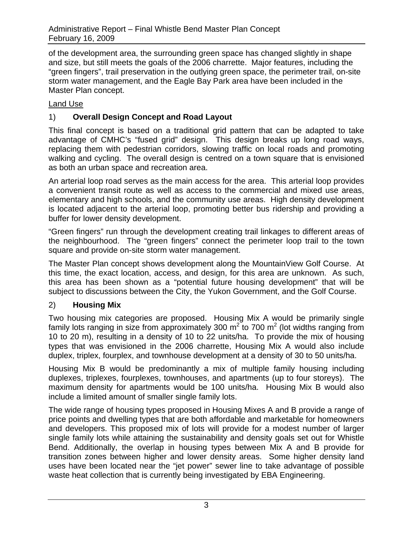of the development area, the surrounding green space has changed slightly in shape and size, but still meets the goals of the 2006 charrette. Major features, including the "green fingers", trail preservation in the outlying green space, the perimeter trail, on-site storm water management, and the Eagle Bay Park area have been included in the Master Plan concept.

#### Land Use

# 1) **Overall Design Concept and Road Layout**

This final concept is based on a traditional grid pattern that can be adapted to take advantage of CMHC's "fused grid" design. This design breaks up long road ways, replacing them with pedestrian corridors, slowing traffic on local roads and promoting walking and cycling. The overall design is centred on a town square that is envisioned as both an urban space and recreation area.

An arterial loop road serves as the main access for the area. This arterial loop provides a convenient transit route as well as access to the commercial and mixed use areas, elementary and high schools, and the community use areas. High density development is located adjacent to the arterial loop, promoting better bus ridership and providing a buffer for lower density development.

"Green fingers" run through the development creating trail linkages to different areas of the neighbourhood. The "green fingers" connect the perimeter loop trail to the town square and provide on-site storm water management.

The Master Plan concept shows development along the MountainView Golf Course. At this time, the exact location, access, and design, for this area are unknown. As such, this area has been shown as a "potential future housing development" that will be subject to discussions between the City, the Yukon Government, and the Golf Course.

#### 2) **Housing Mix**

Two housing mix categories are proposed. Housing Mix A would be primarily single family lots ranging in size from approximately 300 m<sup>2</sup> to 700 m<sup>2</sup> (lot widths ranging from 10 to 20 m), resulting in a density of 10 to 22 units/ha. To provide the mix of housing types that was envisioned in the 2006 charrette, Housing Mix A would also include duplex, triplex, fourplex, and townhouse development at a density of 30 to 50 units/ha.

Housing Mix B would be predominantly a mix of multiple family housing including duplexes, triplexes, fourplexes, townhouses, and apartments (up to four storeys). The maximum density for apartments would be 100 units/ha. Housing Mix B would also include a limited amount of smaller single family lots.

The wide range of housing types proposed in Housing Mixes A and B provide a range of price points and dwelling types that are both affordable and marketable for homeowners and developers. This proposed mix of lots will provide for a modest number of larger single family lots while attaining the sustainability and density goals set out for Whistle Bend. Additionally, the overlap in housing types between Mix A and B provide for transition zones between higher and lower density areas. Some higher density land uses have been located near the "jet power" sewer line to take advantage of possible waste heat collection that is currently being investigated by EBA Engineering.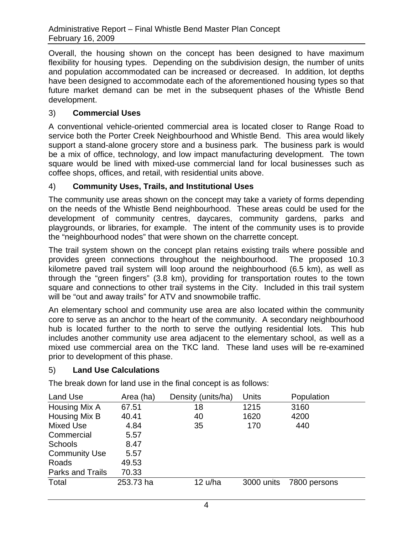Overall, the housing shown on the concept has been designed to have maximum flexibility for housing types. Depending on the subdivision design, the number of units and population accommodated can be increased or decreased. In addition, lot depths have been designed to accommodate each of the aforementioned housing types so that future market demand can be met in the subsequent phases of the Whistle Bend development.

#### 3) **Commercial Uses**

A conventional vehicle-oriented commercial area is located closer to Range Road to service both the Porter Creek Neighbourhood and Whistle Bend. This area would likely support a stand-alone grocery store and a business park. The business park is would be a mix of office, technology, and low impact manufacturing development. The town square would be lined with mixed-use commercial land for local businesses such as coffee shops, offices, and retail, with residential units above.

#### 4) **Community Uses, Trails, and Institutional Uses**

The community use areas shown on the concept may take a variety of forms depending on the needs of the Whistle Bend neighbourhood. These areas could be used for the development of community centres, daycares, community gardens, parks and playgrounds, or libraries, for example. The intent of the community uses is to provide the "neighbourhood nodes" that were shown on the charrette concept.

The trail system shown on the concept plan retains existing trails where possible and provides green connections throughout the neighbourhood. The proposed 10.3 kilometre paved trail system will loop around the neighbourhood (6.5 km), as well as through the "green fingers" (3.8 km), providing for transportation routes to the town square and connections to other trail systems in the City. Included in this trail system will be "out and away trails" for ATV and snowmobile traffic.

An elementary school and community use area are also located within the community core to serve as an anchor to the heart of the community. A secondary neighbourhood hub is located further to the north to serve the outlying residential lots. This hub includes another community use area adjacent to the elementary school, as well as a mixed use commercial area on the TKC land. These land uses will be re-examined prior to development of this phase.

#### 5) **Land Use Calculations**

The break down for land use in the final concept is as follows:

| Land Use                | Area (ha) | Density (units/ha) | Units      | Population   |
|-------------------------|-----------|--------------------|------------|--------------|
| Housing Mix A           | 67.51     | 18                 | 1215       | 3160         |
| Housing Mix B           | 40.41     | 40                 | 1620       | 4200         |
| Mixed Use               | 4.84      | 35                 | 170        | 440          |
| Commercial              | 5.57      |                    |            |              |
| <b>Schools</b>          | 8.47      |                    |            |              |
| <b>Community Use</b>    | 5.57      |                    |            |              |
| Roads                   | 49.53     |                    |            |              |
| <b>Parks and Trails</b> | 70.33     |                    |            |              |
| Total                   | 253.73 ha | 12 u/ha            | 3000 units | 7800 persons |